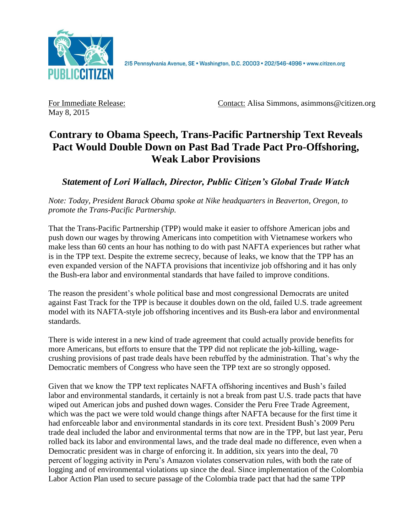

May 8, 2015

For Immediate Release: Contact: Alisa Simmons, asimmons@citizen.org

## **Contrary to Obama Speech, Trans-Pacific Partnership Text Reveals Pact Would Double Down on Past Bad Trade Pact Pro-Offshoring, Weak Labor Provisions**

## *Statement of Lori Wallach, Director, Public Citizen's Global Trade Watch*

*Note: Today, President Barack Obama spoke at Nike headquarters in Beaverton, Oregon, to promote the Trans-Pacific Partnership.*

That the Trans-Pacific Partnership (TPP) would make it easier to offshore American jobs and push down our wages by throwing Americans into competition with Vietnamese workers who make less than 60 cents an hour has nothing to do with past NAFTA experiences but rather what is in the TPP text. Despite the extreme secrecy, because of leaks, we know that the TPP has an even expanded version of the NAFTA provisions that incentivize job offshoring and it has only the Bush-era labor and environmental standards that have failed to improve conditions.

The reason the president's whole political base and most congressional Democrats are united against Fast Track for the TPP is because it doubles down on the old, failed U.S. trade agreement model with its NAFTA-style job offshoring incentives and its Bush-era labor and environmental standards.

There is wide interest in a new kind of trade agreement that could actually provide benefits for more Americans, but efforts to ensure that the TPP did not replicate the job-killing, wagecrushing provisions of past trade deals have been rebuffed by the administration. That's why the Democratic members of Congress who have seen the TPP text are so strongly opposed.

Given that we know the TPP text replicates NAFTA offshoring incentives and Bush's failed labor and environmental standards, it certainly is not a break from past U.S. trade pacts that have wiped out American jobs and pushed down wages. Consider the Peru Free Trade Agreement, which was the pact we were told would change things after NAFTA because for the first time it had enforceable labor and environmental standards in its core text. President Bush's 2009 Peru trade deal included the labor and environmental terms that now are in the TPP, but last year, Peru rolled back its labor and environmental laws, and the trade deal made no difference, even when a Democratic president was in charge of enforcing it. In addition, six years into the deal, 70 percent of logging activity in Peru's Amazon violates conservation rules, with both the rate of logging and of environmental violations up since the deal. Since implementation of the Colombia Labor Action Plan used to secure passage of the Colombia trade pact that had the same TPP